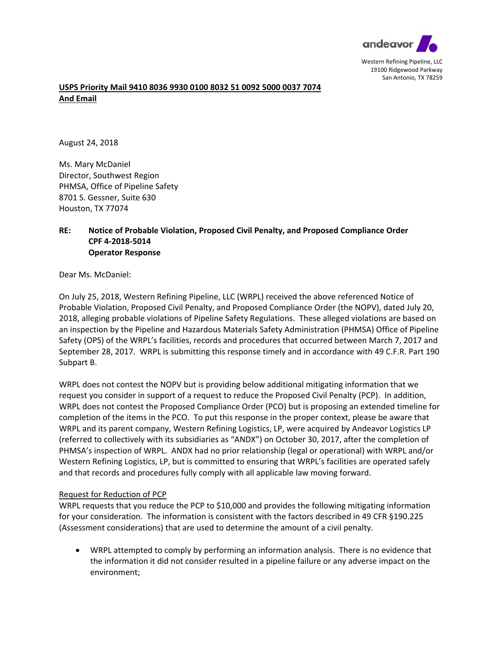

## **USPS Priority Mail 9410 8036 9930 0100 8032 51 0092 5000 0037 7074 And Email**

August 24, 2018

Ms. Mary McDaniel Director, Southwest Region PHMSA, Office of Pipeline Safety 8701 S. Gessner, Suite 630 Houston, TX 77074

## **RE: Notice of Probable Violation, Proposed Civil Penalty, and Proposed Compliance Order CPF 4‐2018‐5014 Operator Response**

Dear Ms. McDaniel:

On July 25, 2018, Western Refining Pipeline, LLC (WRPL) received the above referenced Notice of Probable Violation, Proposed Civil Penalty, and Proposed Compliance Order (the NOPV), dated July 20, 2018, alleging probable violations of Pipeline Safety Regulations. These alleged violations are based on an inspection by the Pipeline and Hazardous Materials Safety Administration (PHMSA) Office of Pipeline Safety (OPS) of the WRPL's facilities, records and procedures that occurred between March 7, 2017 and September 28, 2017. WRPL is submitting this response timely and in accordance with 49 C.F.R. Part 190 Subpart B.

 WRPL does not contest the NOPV but is providing below additional mitigating information that we request you consider in support of a request to reduce the Proposed Civil Penalty (PCP). In addition, WRPL does not contest the Proposed Compliance Order (PCO) but is proposing an extended timeline for completion of the items in the PCO. To put this response in the proper context, please be aware that WRPL and its parent company, Western Refining Logistics, LP, were acquired by Andeavor Logistics LP (referred to collectively with its subsidiaries as "ANDX") on October 30, 2017, after the completion of PHMSA's inspection of WRPL. ANDX had no prior relationship (legal or operational) with WRPL and/or Western Refining Logistics, LP, but is committed to ensuring that WRPL's facilities are operated safely and that records and procedures fully comply with all applicable law moving forward.

## Request for Reduction of PCP

WRPL requests that you reduce the PCP to \$10,000 and provides the following mitigating information for your consideration. The information is consistent with the factors described in 49 CFR §190.225 (Assessment considerations) that are used to determine the amount of a civil penalty.

 the information it did not consider resulted in a pipeline failure or any adverse impact on the WRPL attempted to comply by performing an information analysis. There is no evidence that environment;